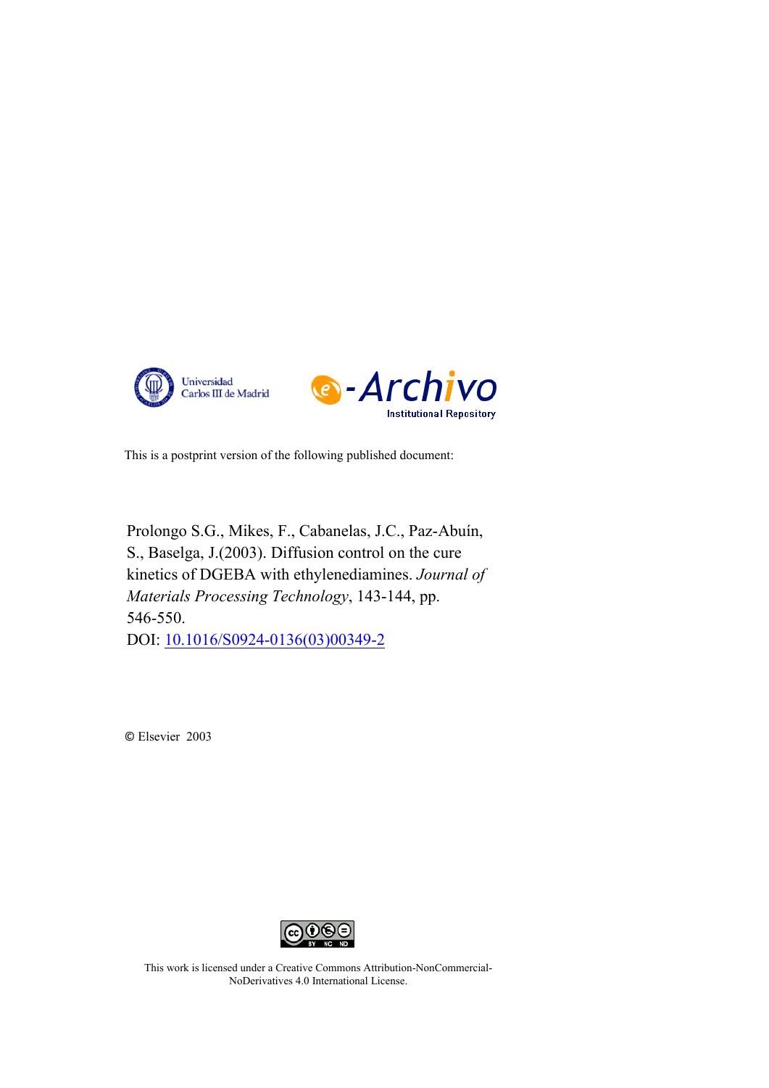



This is a postprint version of the following published document:

Prolongo S.G., Mikes, F., Cabanelas, J.C., Paz-Abuín, S., Baselga, J.(2003). Diffusion control on the cure kinetics of DGEBA with ethylenediamines. *Journal of Materials Processing Technology*, 143-144, pp. 546-550. DOI: [10.1016/S0924-0136\(03\)00349-2](https://doi.org/10.1016/S0924-0136(03)00349-2)

© Elsevier 2003



This work is licensed under a Creative Commons Attribution-NonCommercial-NoDerivatives 4.0 International License.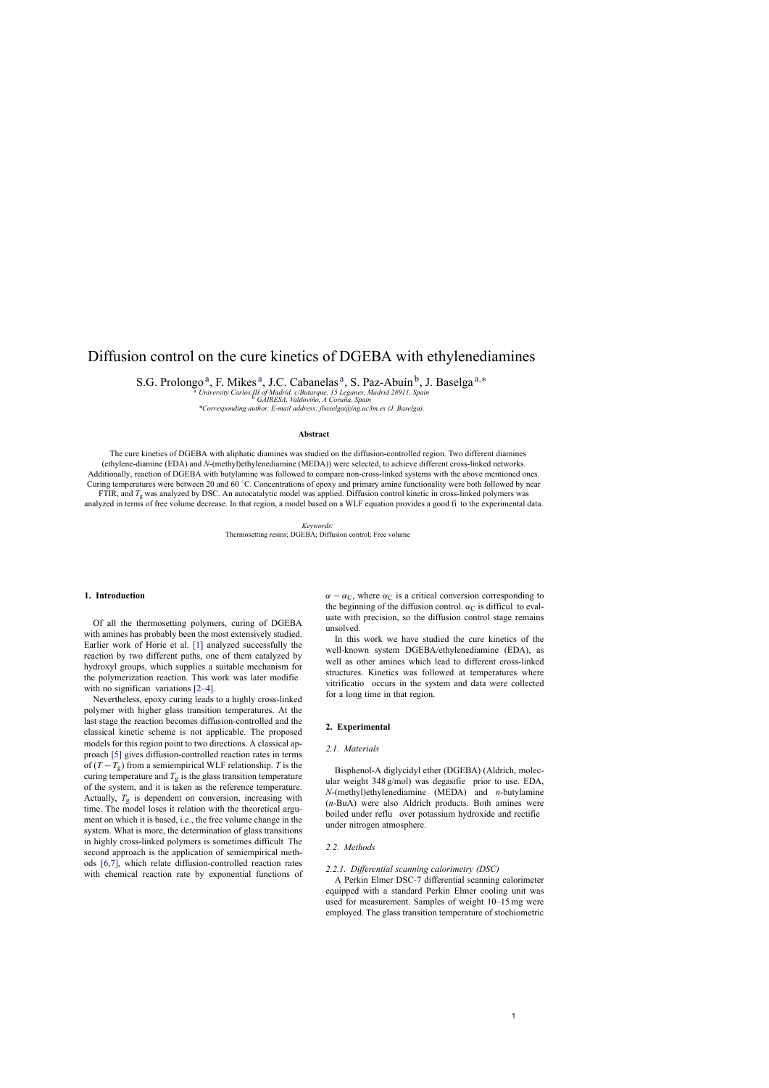# Diffusion control on the cure kinetics of DGEBA with ethylenediamines

S.G. Prolongo<sup>a</sup>, F. Mikes<sup>a</sup>, J.C. Cabanelas<sup>a</sup>, S. Paz-Abuín<sup>b</sup>, J. Baselga<sup>a,\*</sup>

<sup>a</sup> University Carlos III of Madrid, c/Butarque, 15 Leganes, Madrid 28911, Spain<br><sup>6</sup> GAIRESA, Valdoviño, A Coruña, Spain

*\*Corresponding author. E-mail address: jbaselga@ing.uc3m.es (J. Baselga).*

### **Abstract**

The cure kinetics of DGEBA with aliphatic diamines was studied on the diffusion-controlled region. Two different diamines (ethylene-diamine (EDA) and *N*-(methyl)ethylenediamine (MEDA)) were selected, to achieve different cross-linked networks. Additionally, reaction of DGEBA with butylamine was followed to compare non-cross-linked systems with the above mentioned ones. Curing temperatures were between 20 and 60 ◦C. Concentrations of epoxy and primary amine functionality were both followed by near FTIR, and *T*<sup>g</sup> was analyzed by DSC. An autocatalytic model was applied. Diffusion control kinetic in cross-linked polymers was analyzed in terms of free volume decrease. In that region, a model based on a WLF equation provides a good fi to the experimental data.

> *Keywords:* Thermosetting resins; DGEBA; Diffusion control; Free volume

## **1. Introduction**

Of all the thermosetting polymers, curing of DGEBA with amines has probably been the most extensively studied. Earlier work of Horie et al. [1] analyzed successfully the reaction by two different paths, one of them catalyzed by hydroxyl groups, which supplies a suitable mechanism for the polymerization reaction. This work was later modifie with no significan variations [2–4].

Nevertheless, epoxy curing leads to a highly cross-linked polymer with higher glass tr[ansit](#page-5-0)ion temperatures. At the last stage the reaction becomes diffusion-controlled and the classical kinetic scheme is not applicable. The proposed models for this region point to two directions. A classical approach [5] gives diffusion-co[ntrolled](#page-5-0) reaction rates in terms of  $(T - T_g)$  from a semiempirical WLF relationship. *T* is the curing temperature and  $T_g$  is the glass transition temperature of the system, and it is taken as the reference temperature. Actually,  $T<sub>g</sub>$  is dependent on conversion, increasing with time. The model loses it relation with the theoretical argument on [whi](#page-5-0)ch it is based, i.e., the free volume change in the system. What is more, the determination of glass transitions in highly cross-linked polymers is sometimes difficult The second approach is the application of semiempirical methods [6,7], which relate diffusion-controlled reaction rates with chemical reaction rate by exponential functions of  $\alpha - \alpha_C$ , where  $\alpha_C$  is a critical conversion corresponding to the beginning of the diffusion control.  $\alpha_C$  is difficul to evaluate with precision, so the diffusion control stage remains unsolved.

In this work we have studied the cure kinetics of the well-known system DGEBA/ethylenediamine (EDA), as well as other amines which lead to different cross-linked structures. Kinetics was followed at temperatures where vitrificatio occurs in the system and data were collected for a long time in that region.

## **2. Experimental**

## *2.1. Materials*

Bisphenol-A diglycidyl ether (DGEBA) (Aldrich, molecular weight 348 g/mol) was degasifie prior to use. EDA, *N*-(methyl)ethylenediamine (MEDA) and *n*-butylamine (*n*-BuA) were also Aldrich products. Both amines were boiled under reflu over potassium hydroxide and rectifie under nitrogen atmosphere.

#### *2.2. Methods*

# *2.2.1. Differential scanning calorimetry (DSC)*

A Perkin Elmer DSC-7 differential scanning calorimeter equipped with a standard Perkin Elmer cooling unit was used for measurement. Samples of weight 10–15 mg were employed. The glass transition temperature of stochiometric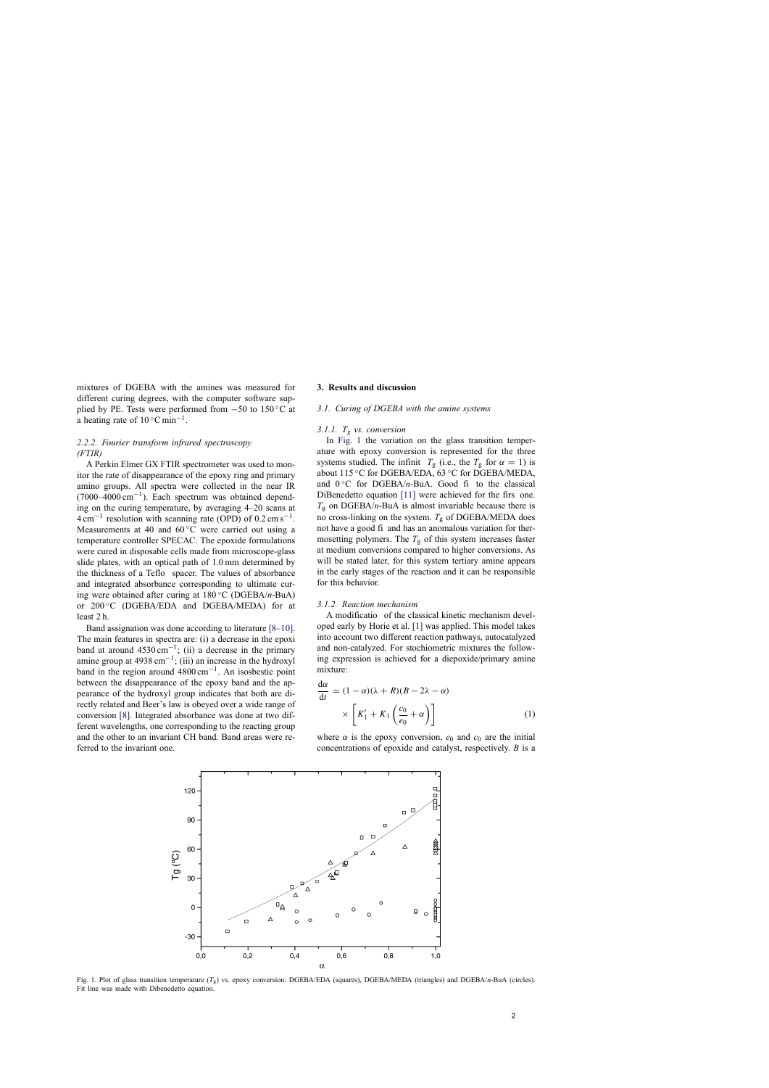<span id="page-2-0"></span>mixtures of DGEBA with the amines was measured for different curing degrees, with the computer software supplied by PE. Tests were performed from  $-50$  to 150 °C at a heating rate of  $10^{\circ}$ C min<sup>-1</sup>.

# *2.2.2. Fourier transform infrared spectroscopy (FTIR)*

A Perkin Elmer GX FTIR spectrometer was used to monitor the rate of disappearance of the epoxy ring and primary amino groups. All spectra were collected in the near IR  $(7000-4000 \text{ cm}^{-1})$ . Each spectrum was obtained depending on the curing temperature, by averaging 4–20 scans at  $4 \text{ cm}^{-1}$  resolution with scanning rate (OPD) of 0.2 cm s<sup>-1</sup>. Measurements at 40 and  $60^{\circ}$ C were carried out using a temperature controller SPECAC. The epoxide formulations were cured in disposable cells made from microscope-glass slide plates, with an optical path of 1.0 mm determined by the thickness of a Teflo spacer. The values of absorbance and integrated absorbance corresponding to ultimate curing were obtained after curing at 180 ◦C (DGEBA/*n*-BuA) or 200 ◦C (DGEBA/EDA and DGEBA/MEDA) for at least 2 h.

Band assignation was done according to literature [\[8–10\].](#page-5-0) The main features in spectra are: (i) a decrease in the epoxi band at around  $4530 \text{ cm}^{-1}$ ; (ii) a decrease in the primary amine group at 4938 cm<sup>-1</sup>; (iii) an increase in the hydroxyl band in the region around  $4800 \text{ cm}^{-1}$ . An isosbestic point between the disappearance of the epoxy band and the appearance of the hydroxyl group indicates that both are directly related and Beer's law is obeyed over a wide range of conversion [\[8\].](#page-5-0) Integrated absorbance was done at two different wavelengths, one corresponding to the reacting group and the other to an invariant CH band. Band areas were referred to the invariant one.

### **3. Results and discussion**

#### *3.1. Curing of DGEBA with the amine systems*

## *3.1.1. T*<sup>g</sup> *vs. conversion*

In Fig. 1 the variation on the glass transition temperature with epoxy conversion is represented for the three systems studied. The infinit  $T_g$  (i.e., the  $T_g$  for  $\alpha = 1$ ) is about 115 ◦C for DGEBA/EDA, 63 ◦C for DGEBA/MEDA, and  $0^{\circ}$ C for DGEBA/*n*-BuA. Good fi to the classical DiBenedetto equation [\[11\]](#page-5-0) were achieved for the firs one.  $T_g$  on DGEBA/*n*-BuA is almost invariable because there is no cross-linking on the system.  $T_g$  of DGEBA/MEDA does not have a good fi and has an anomalous variation for thermosetting polymers. The  $T_g$  of this system increases faster at medium conversions compared to higher conversions. As will be stated later, for this system tertiary amine appears in the early stages of the reaction and it can be responsible for this behavior.

#### *3.1.2. Reaction mechanism*

A modificatio of the classical kinetic mechanism developed early by Horie et al. [\[1\]](#page-5-0) was applied. This model takes into account two different reaction pathways, autocatalyzed and non-catalyzed. For stochiometric mixtures the following expression is achieved for a diepoxide/primary amine mixture:

$$
\frac{d\alpha}{dt} = (1 - \alpha)(\lambda + R)(B - 2\lambda - \alpha)
$$

$$
\times \left[K'_1 + K_1\left(\frac{c_0}{e_0} + \alpha\right)\right]
$$
(1)

where  $\alpha$  is the epoxy conversion,  $e_0$  and  $c_0$  are the initial concentrations of epoxide and catalyst, respectively. *B* is a



Fig. 1. Plot of glass transition temperature (*T*g) vs. epoxy conversion: DGEBA/EDA (squares), DGEBA/MEDA (triangles) and DGEBA/*n*-BuA (circles). Fit line was made with Dibenedetto equation.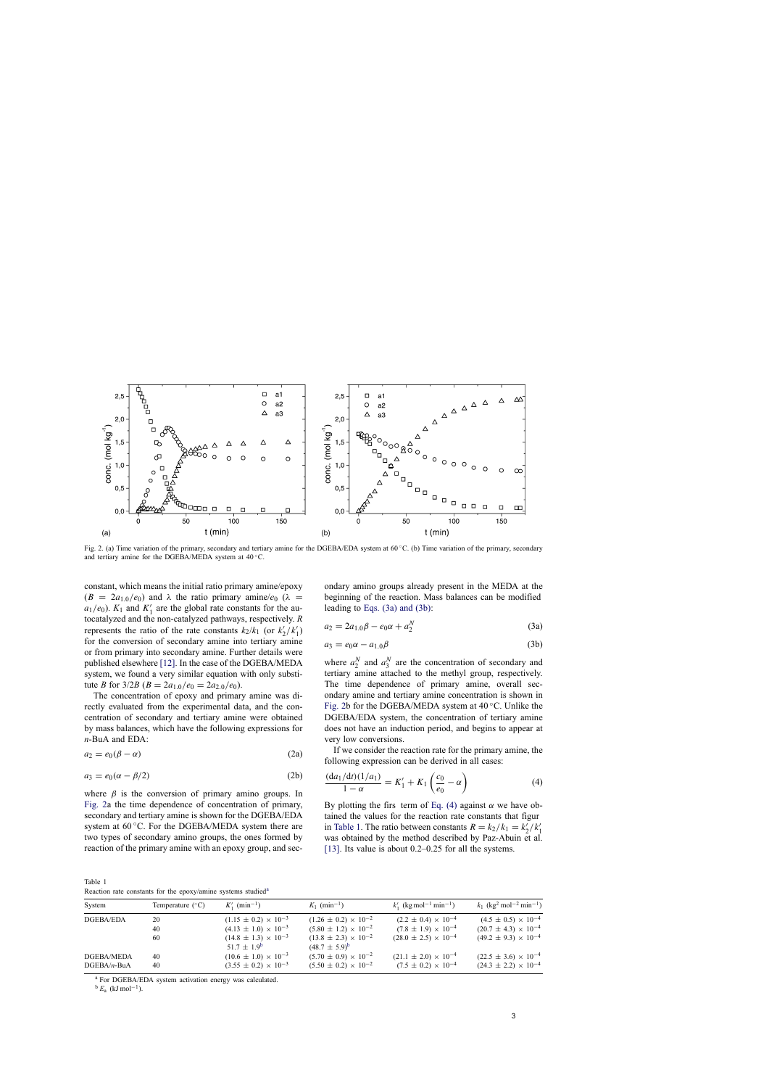<span id="page-3-0"></span>

Fig. 2. (a) Time variation of the primary, secondary and tertiary amine for the DGEBA/EDA system at 60 ◦C. (b) Time variation of the primary, secondary and tertiary amine for the DGEBA/MEDA system at 40 ◦C.

constant, which means the initial ratio primary amine/epoxy  $(B = 2a_{1,0}/e_0)$  and  $\lambda$  the ratio primary amine/ $e_0$  ( $\lambda =$  $a_1/e_0$ ).  $K_1$  and  $K'_1$  are the global rate constants for the autocatalyzed and the non-catalyzed pathways, respectively. *R* represents the ratio of the rate constants  $k_2/k_1$  (or  $k'_2/k'_1$ ) for the conversion of secondary amine into tertiary amine or from primary into secondary amine. Further details were published elsewhere [\[12\]. I](#page-5-0)n the case of the DGEBA/MEDA system, we found a very similar equation with only substitute *B* for  $3/2B$  ( $B = 2a_{1,0}/e_0 = 2a_{2,0}/e_0$ ).

The concentration of epoxy and primary amine was directly evaluated from the experimental data, and the concentration of secondary and tertiary amine were obtained by mass balances, which have the following expressions for *n*-BuA and EDA:

$$
a_2 = e_0(\beta - \alpha) \tag{2a}
$$

$$
a_3 = e_0(\alpha - \beta/2) \tag{2b}
$$

where  $\beta$  is the conversion of primary amino groups. In Fig. 2a the time dependence of concentration of primary, secondary and tertiary amine is shown for the DGEBA/EDA system at  $60^{\circ}$ C. For the DGEBA/MEDA system there are two types of secondary amino groups, the ones formed by reaction of the primary amine with an epoxy group, and secondary amino groups already present in the MEDA at the beginning of the reaction. Mass balances can be modified leading to Eqs. (3a) and (3b):

$$
a_2 = 2a_{1,0}\beta - e_0\alpha + a_2^N \tag{3a}
$$

$$
a_3 = e_0 \alpha - a_{1,0} \beta \tag{3b}
$$

where  $a_2^N$  and  $a_3^N$  are the concentration of secondary and tertiary amine attached to the methyl group, respectively. The time dependence of primary amine, overall secondary amine and tertiary amine concentration is shown in Fig. 2b for the DGEBA/MEDA system at  $40^{\circ}$ C. Unlike the DGEBA/EDA system, the concentration of tertiary amine does not have an induction period, and begins to appear at very low conversions.

If we consider the reaction rate for the primary amine, the following expression can be derived in all cases:

$$
\frac{(da_1/dt)(1/a_1)}{1-\alpha} = K'_1 + K_1 \left(\frac{c_0}{e_0} - \alpha\right)
$$
 (4)

By plotting the firs term of Eq. (4) against  $\alpha$  we have obtained the values for the reaction rate constants that figur in Table 1. The ratio between constants  $R = k_2/k_1 = k'_2/k'_1$ was obtained by the method described by Paz-Abuin et al. [\[13\].](#page-5-0) Its value is about 0.2–0.25 for all the systems.

Table 1 Reaction rate constants for the epoxy/amine systems studied<sup>a</sup>

| System                      | Temperature $(^{\circ}C)$ | $K'_1$ (min <sup>-1</sup> )                                        | $K_1$ (min <sup>-1</sup> )                                         | $k'_1$ (kg mol <sup>-1</sup> min <sup>-1</sup> )                  | $k_1$ (kg <sup>2</sup> mol <sup>-2</sup> min <sup>-1</sup> )       |
|-----------------------------|---------------------------|--------------------------------------------------------------------|--------------------------------------------------------------------|-------------------------------------------------------------------|--------------------------------------------------------------------|
| DGEBA/EDA                   | 20                        | $(1.15 \pm 0.2) \times 10^{-3}$                                    | $(1.26 \pm 0.2) \times 10^{-2}$                                    | $(2.2 \pm 0.4) \times 10^{-4}$                                    | $(4.5 \pm 0.5) \times 10^{-4}$                                     |
|                             | 40                        | $(4.13 \pm 1.0) \times 10^{-3}$                                    | $(5.80 \pm 1.2) \times 10^{-2}$                                    | $(7.8 \pm 1.9) \times 10^{-4}$                                    | $(20.7 \pm 4.3) \times 10^{-4}$                                    |
|                             | 60                        | $(14.8 \pm 1.3) \times 10^{-3}$<br>$51.7 \pm 1.9^{\circ}$          | $(13.8 \pm 2.3) \times 10^{-2}$<br>$(48.7 \pm 5.9)^b$              | $(28.0 \pm 2.5) \times 10^{-4}$                                   | $(49.2 \pm 9.3) \times 10^{-4}$                                    |
| DGEBA/MEDA<br>$DGEBA/n-BuA$ | 40<br>40                  | $(10.6 \pm 1.0) \times 10^{-3}$<br>$(3.55 \pm 0.2) \times 10^{-3}$ | $(5.70 \pm 0.9) \times 10^{-2}$<br>$(5.50 \pm 0.2) \times 10^{-2}$ | $(21.1 \pm 2.0) \times 10^{-4}$<br>$(7.5 \pm 0.2) \times 10^{-4}$ | $(22.5 \pm 3.6) \times 10^{-4}$<br>$(24.3 \pm 2.2) \times 10^{-4}$ |

<sup>a</sup> For DGEBA/EDA system activation energy was calculated.

 $b E_a$  (kJ mol<sup>-1</sup>).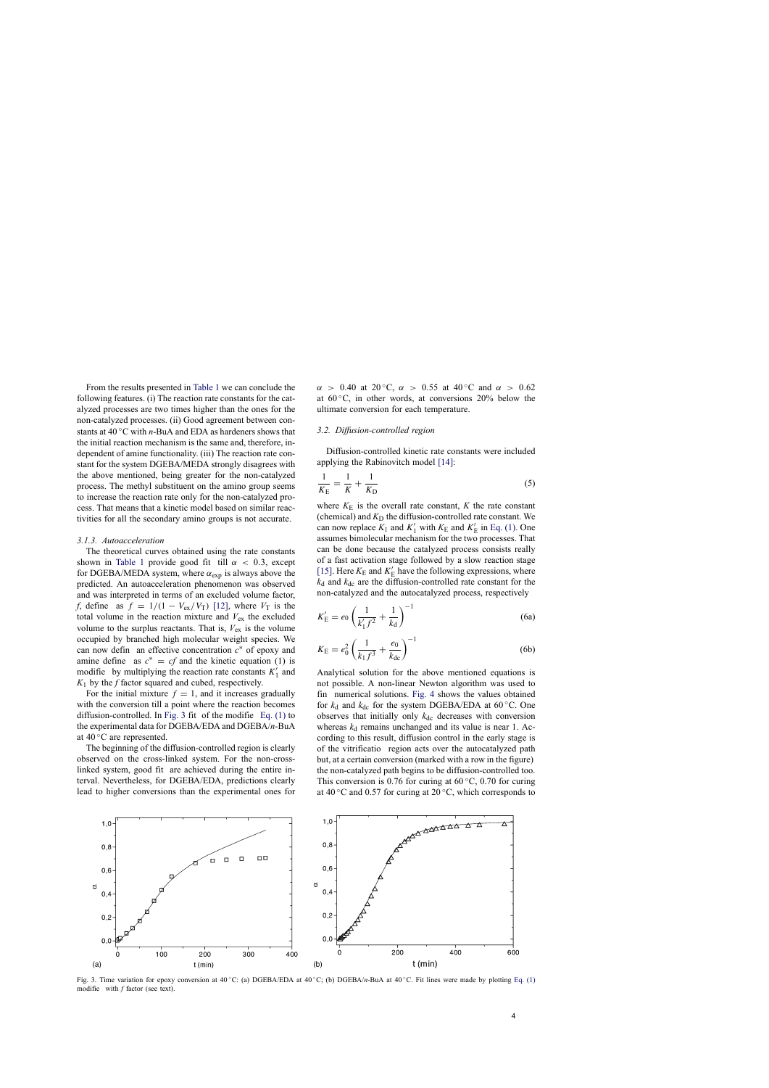From the results presented in [Table 1](#page-3-0) we can conclude the following features. (i) The reaction rate constants for the catalyzed processes are two times higher than the ones for the non-catalyzed processes. (ii) Good agreement between constants at 40 ◦C with *n*-BuA and EDA as hardeners shows that the initial reaction mechanism is the same and, therefore, independent of amine functionality. (iii) The reaction rate constant for the system DGEBA/MEDA strongly disagrees with the above mentioned, being greater for the non-catalyzed process. The methyl substituent on the amino group seems to increase the reaction rate only for the non-catalyzed process. That means that a kinetic model based on similar reactivities for all the secondary amino groups is not accurate.

### *3.1.3. Autoacceleration*

The theoretical curves obtained using the rate constants shown in [Table 1](#page-3-0) provide good fit till  $\alpha$  < 0.3, except for DGEBA/MEDA system, where  $\alpha_{exp}$  is always above the predicted. An autoacceleration phenomenon was observed and was interpreted in terms of an excluded volume factor, *f*, define as  $f = 1/(1 - V_{ex}/V_T)$  [\[12\],](#page-5-0) where  $V_T$  is the total volume in the reaction mixture and  $V_{ex}$  the excluded volume to the surplus reactants. That is,  $V_{ex}$  is the volume occupied by branched high molecular weight species. We can now defin an effective concentration *c*∗ of epoxy and amine define as  $c^* = cf$  and the kinetic equation (1) is modifie by multiplying the reaction rate constants  $K'_1$  and *K*<sup>1</sup> by the *f* factor squared and cubed, respectively.

For the initial mixture  $f = 1$ , and it increases gradually with the conversion till a point where the reaction becomes diffusion-controlled. In Fig. 3 fit of the modifie [Eq. \(1\)](#page-2-0) to the experimental data for DGEBA/EDA and DGEBA/*n*-BuA at 40 ◦C are represented.

The beginning of the diffusion-controlled region is clearly observed on the cross-linked system. For the non-crosslinked system, good fit are achieved during the entire interval. Nevertheless, for DGEBA/EDA, predictions clearly lead to higher conversions than the experimental ones for  $\alpha$  > 0.40 at 20 °C,  $\alpha$  > 0.55 at 40 °C and  $\alpha$  > 0.62 at  $60^{\circ}$ C, in other words, at conversions 20% below the ultimate conversion for each temperature.

#### *3.2. Diffusion-controlled region*

Diffusion-controlled kinetic rate constants were included applying the Rabinovitch model [\[14\]:](#page-5-0)

$$
\frac{1}{K_{\rm E}} = \frac{1}{K} + \frac{1}{K_{\rm D}}\tag{5}
$$

where  $K_{\rm E}$  is the overall rate constant, *K* the rate constant (chemical) and  $K<sub>D</sub>$  the diffusion-controlled rate constant. We can now replace  $K_1$  and  $K'_1$  with  $K_E$  and  $K'_E$  in [Eq. \(1\). O](#page-2-0)ne assumes bimolecular mechanism for the two processes. That can be done because the catalyzed process consists really of a fast activation stage followed by a slow reaction stage [\[15\]. H](#page-5-0)ere  $K_{\rm E}$  and  $K'_{\rm E}$  have the following expressions, where  $k_d$  and  $k_{dc}$  are the diffusion-controlled rate constant for the non-catalyzed and the autocatalyzed process, respectively

$$
K'_{\rm E} = e_0 \left( \frac{1}{k'_1 f^2} + \frac{1}{k_{\rm d}} \right)^{-1} \tag{6a}
$$

$$
K_{\rm E} = e_0^2 \left( \frac{1}{k_1 f^3} + \frac{e_0}{k_{\rm dc}} \right)^{-1}
$$
 (6b)

Analytical solution for the above mentioned equations is not possible. A non-linear Newton algorithm was used to fin numerical solutions. [Fig. 4](#page-5-0) shows the values obtained for  $k_d$  and  $k_{dc}$  for the system DGEBA/EDA at 60 °C. One observes that initially only  $k_{dc}$  decreases with conversion whereas  $k_d$  remains unchanged and its value is near 1. According to this result, diffusion control in the early stage is of the vitrificatio region acts over the autocatalyzed path but, at a certain conversion (marked with a row in the figure) the non-catalyzed path begins to be diffusion-controlled too. This conversion is 0.76 for curing at  $60^{\circ}$ C, 0.70 for curing at 40 °C and 0.57 for curing at 20 °C, which corresponds to



Fig. 3. Time variation for epoxy conversion at 40 ◦C: (a) DGEBA/EDA at 40 ◦C; (b) DGEBA/*n*-BuA at 40 ◦C. Fit lines were made by plotting [Eq. \(1\)](#page-2-0) modifie with *f* factor (see text).